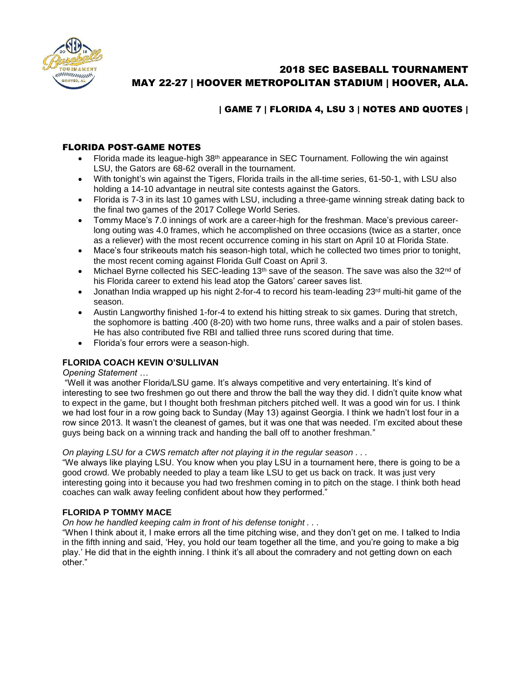

# 2018 SEC BASEBALL TOURNAMENT MAY 22-27 | HOOVER METROPOLITAN STADIUM | HOOVER, ALA.

# | GAME 7 | FLORIDA 4, LSU 3 | NOTES AND QUOTES |

# FLORIDA POST-GAME NOTES

- Florida made its league-high 38th appearance in SEC Tournament. Following the win against LSU, the Gators are 68-62 overall in the tournament.
- With tonight's win against the Tigers, Florida trails in the all-time series, 61-50-1, with LSU also holding a 14-10 advantage in neutral site contests against the Gators.
- Florida is 7-3 in its last 10 games with LSU, including a three-game winning streak dating back to the final two games of the 2017 College World Series.
- Tommy Mace's 7.0 innings of work are a career-high for the freshman. Mace's previous careerlong outing was 4.0 frames, which he accomplished on three occasions (twice as a starter, once as a reliever) with the most recent occurrence coming in his start on April 10 at Florida State.
- Mace's four strikeouts match his season-high total, which he collected two times prior to tonight, the most recent coming against Florida Gulf Coast on April 3.
- $\bullet$  Michael Byrne collected his SEC-leading 13<sup>th</sup> save of the season. The save was also the 32<sup>nd</sup> of his Florida career to extend his lead atop the Gators' career saves list.
- $\bullet$  Jonathan India wrapped up his night 2-for-4 to record his team-leading 23<sup>rd</sup> multi-hit game of the season.
- Austin Langworthy finished 1-for-4 to extend his hitting streak to six games. During that stretch, the sophomore is batting .400 (8-20) with two home runs, three walks and a pair of stolen bases. He has also contributed five RBI and tallied three runs scored during that time.
- Florida's four errors were a season-high.

# **FLORIDA COACH KEVIN O'SULLIVAN**

#### *Opening Statement …*

"Well it was another Florida/LSU game. It's always competitive and very entertaining. It's kind of interesting to see two freshmen go out there and throw the ball the way they did. I didn't quite know what to expect in the game, but I thought both freshman pitchers pitched well. It was a good win for us. I think we had lost four in a row going back to Sunday (May 13) against Georgia. I think we hadn't lost four in a row since 2013. It wasn't the cleanest of games, but it was one that was needed. I'm excited about these guys being back on a winning track and handing the ball off to another freshman."

#### *On playing LSU for a CWS rematch after not playing it in the regular season . . .*

"We always like playing LSU. You know when you play LSU in a tournament here, there is going to be a good crowd. We probably needed to play a team like LSU to get us back on track. It was just very interesting going into it because you had two freshmen coming in to pitch on the stage. I think both head coaches can walk away feeling confident about how they performed."

# **FLORIDA P TOMMY MACE**

#### *On how he handled keeping calm in front of his defense tonight . . .*

"When I think about it, I make errors all the time pitching wise, and they don't get on me. I talked to India in the fifth inning and said, 'Hey, you hold our team together all the time, and you're going to make a big play.' He did that in the eighth inning. I think it's all about the comradery and not getting down on each other."